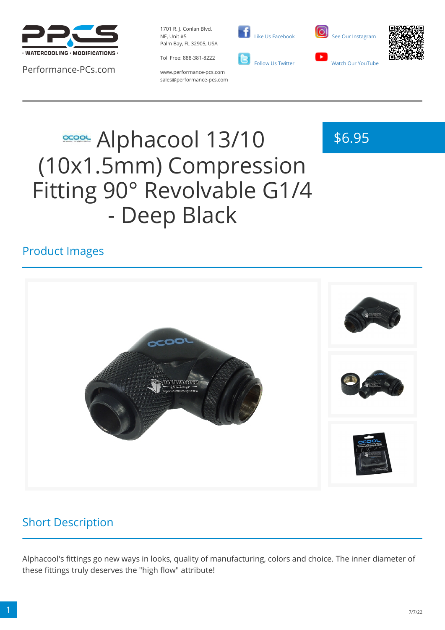

Performance-PCs.com

1701 R. J. Conlan Blvd. NE, Unit #5 Palm Bay, FL 32905, USA

Toll Free: 888-381-8222





\$6.95



www.performance-pcs.com sales@performance-pcs.com

# **SCOOL Alphacool 13/10** (10x1.5mm) Compression Fitting 90° Revolvable G1/4 - Deep Black

### Product Images



#### Short Description

Alphacool's fittings go new ways in looks, quality of manufacturing, colors and choice. The inner diameter of these fittings truly deserves the "high flow" attribute!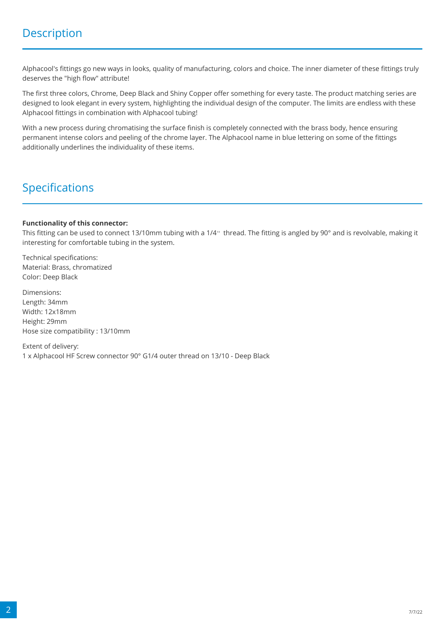Alphacool's fittings go new ways in looks, quality of manufacturing, colors and choice. The inner diameter of these fittings truly deserves the "high flow" attribute!

The first three colors, Chrome, Deep Black and Shiny Copper offer something for every taste. The product matching series are designed to look elegant in every system, highlighting the individual design of the computer. The limits are endless with these Alphacool fittings in combination with Alphacool tubing!

With a new process during chromatising the surface finish is completely connected with the brass body, hence ensuring permanent intense colors and peeling of the chrome layer. The Alphacool name in blue lettering on some of the fittings additionally underlines the individuality of these items.

### Specifications

#### **Functionality of this connector:**

This fitting can be used to connect 13/10mm tubing with a 1/4" thread. The fitting is angled by 90° and is revolvable, making it interesting for comfortable tubing in the system.

Technical specifications: Material: Brass, chromatized Color: Deep Black

Dimensions: Length: 34mm Width: 12x18mm Height: 29mm Hose size compatibility : 13/10mm

Extent of delivery: 1 x Alphacool HF Screw connector 90° G1/4 outer thread on 13/10 - Deep Black